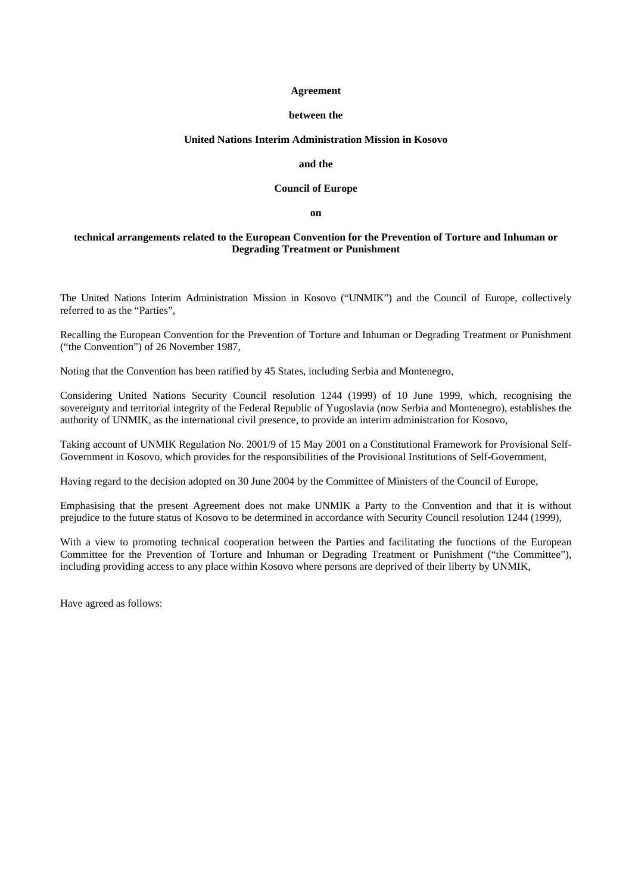#### **Agreement**

#### **between the**

#### **United Nations Interim Administration Mission in Kosovo**

## **and the**

#### **Council of Europe**

**on**

## **technical arrangements related to the European Convention for the Prevention of Torture and Inhuman or Degrading Treatment or Punishment**

The United Nations Interim Administration Mission in Kosovo ("UNMIK") and the Council of Europe, collectively referred to as the "Parties",

Recalling the European Convention for the Prevention of Torture and Inhuman or Degrading Treatment or Punishment ("the Convention") of 26 November 1987,

Noting that the Convention has been ratified by 45 States, including Serbia and Montenegro,

Considering United Nations Security Council resolution 1244 (1999) of 10 June 1999, which, recognising the sovereignty and territorial integrity of the Federal Republic of Yugoslavia (now Serbia and Montenegro), establishes the authority of UNMIK, as the international civil presence, to provide an interim administration for Kosovo,

Taking account of UNMIK Regulation No. 2001/9 of 15 May 2001 on a Constitutional Framework for Provisional Self-Government in Kosovo, which provides for the responsibilities of the Provisional Institutions of Self-Government,

Having regard to the decision adopted on 30 June 2004 by the Committee of Ministers of the Council of Europe,

Emphasising that the present Agreement does not make UNMIK a Party to the Convention and that it is without prejudice to the future status of Kosovo to be determined in accordance with Security Council resolution 1244 (1999),

With a view to promoting technical cooperation between the Parties and facilitating the functions of the European Committee for the Prevention of Torture and Inhuman or Degrading Treatment or Punishment ("the Committee"), including providing access to any place within Kosovo where persons are deprived of their liberty by UNMIK,

Have agreed as follows: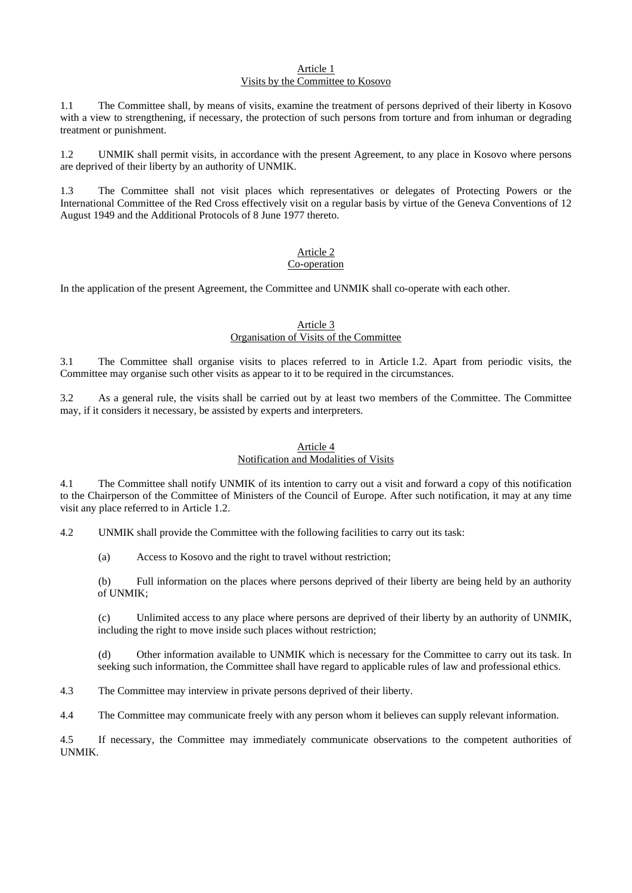#### Article 1 Visits by the Committee to Kosovo

1.1 The Committee shall, by means of visits, examine the treatment of persons deprived of their liberty in Kosovo with a view to strengthening, if necessary, the protection of such persons from torture and from inhuman or degrading treatment or punishment.

1.2 UNMIK shall permit visits, in accordance with the present Agreement, to any place in Kosovo where persons are deprived of their liberty by an authority of UNMIK.

1.3 The Committee shall not visit places which representatives or delegates of Protecting Powers or the International Committee of the Red Cross effectively visit on a regular basis by virtue of the Geneva Conventions of 12 August 1949 and the Additional Protocols of 8 June 1977 thereto.

#### Article 2 Co-operation

In the application of the present Agreement, the Committee and UNMIK shall co-operate with each other.

## Article 3 Organisation of Visits of the Committee

3.1 The Committee shall organise visits to places referred to in Article 1.2. Apart from periodic visits, the Committee may organise such other visits as appear to it to be required in the circumstances.

3.2 As a general rule, the visits shall be carried out by at least two members of the Committee. The Committee may, if it considers it necessary, be assisted by experts and interpreters.

#### Article 4 Notification and Modalities of Visits

4.1 The Committee shall notify UNMIK of its intention to carry out a visit and forward a copy of this notification to the Chairperson of the Committee of Ministers of the Council of Europe. After such notification, it may at any time visit any place referred to in Article 1.2.

4.2 UNMIK shall provide the Committee with the following facilities to carry out its task:

(a) Access to Kosovo and the right to travel without restriction;

(b) Full information on the places where persons deprived of their liberty are being held by an authority of UNMIK;

(c) Unlimited access to any place where persons are deprived of their liberty by an authority of UNMIK, including the right to move inside such places without restriction;

(d) Other information available to UNMIK which is necessary for the Committee to carry out its task. In seeking such information, the Committee shall have regard to applicable rules of law and professional ethics.

4.3 The Committee may interview in private persons deprived of their liberty.

4.4 The Committee may communicate freely with any person whom it believes can supply relevant information.

4.5 If necessary, the Committee may immediately communicate observations to the competent authorities of UNMIK.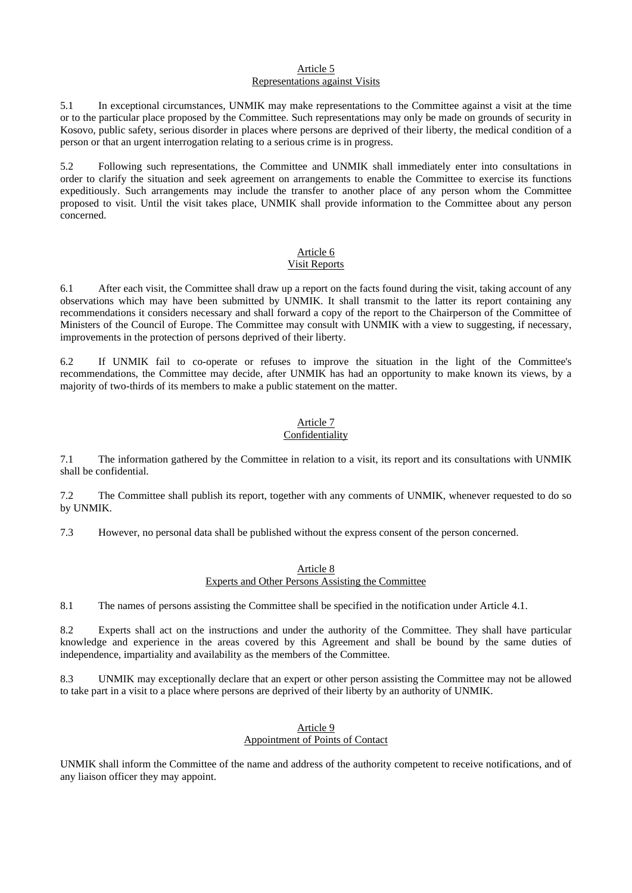### Article 5 Representations against Visits

5.1 In exceptional circumstances, UNMIK may make representations to the Committee against a visit at the time or to the particular place proposed by the Committee. Such representations may only be made on grounds of security in Kosovo, public safety, serious disorder in places where persons are deprived of their liberty, the medical condition of a person or that an urgent interrogation relating to a serious crime is in progress.

5.2 Following such representations, the Committee and UNMIK shall immediately enter into consultations in order to clarify the situation and seek agreement on arrangements to enable the Committee to exercise its functions expeditiously. Such arrangements may include the transfer to another place of any person whom the Committee proposed to visit. Until the visit takes place, UNMIK shall provide information to the Committee about any person concerned.

# Article 6

## Visit Reports

6.1 After each visit, the Committee shall draw up a report on the facts found during the visit, taking account of any observations which may have been submitted by UNMIK. It shall transmit to the latter its report containing any recommendations it considers necessary and shall forward a copy of the report to the Chairperson of the Committee of Ministers of the Council of Europe. The Committee may consult with UNMIK with a view to suggesting, if necessary, improvements in the protection of persons deprived of their liberty.

6.2 If UNMIK fail to co-operate or refuses to improve the situation in the light of the Committee's recommendations, the Committee may decide, after UNMIK has had an opportunity to make known its views, by a majority of two-thirds of its members to make a public statement on the matter.

#### Article 7 Confidentiality

7.1 The information gathered by the Committee in relation to a visit, its report and its consultations with UNMIK shall be confidential.

7.2 The Committee shall publish its report, together with any comments of UNMIK, whenever requested to do so by UNMIK.

7.3 However, no personal data shall be published without the express consent of the person concerned.

## Article 8 Experts and Other Persons Assisting the Committee

8.1 The names of persons assisting the Committee shall be specified in the notification under Article 4.1.

8.2 Experts shall act on the instructions and under the authority of the Committee. They shall have particular knowledge and experience in the areas covered by this Agreement and shall be bound by the same duties of independence, impartiality and availability as the members of the Committee.

8.3 UNMIK may exceptionally declare that an expert or other person assisting the Committee may not be allowed to take part in a visit to a place where persons are deprived of their liberty by an authority of UNMIK.

## Article 9 Appointment of Points of Contact

UNMIK shall inform the Committee of the name and address of the authority competent to receive notifications, and of any liaison officer they may appoint.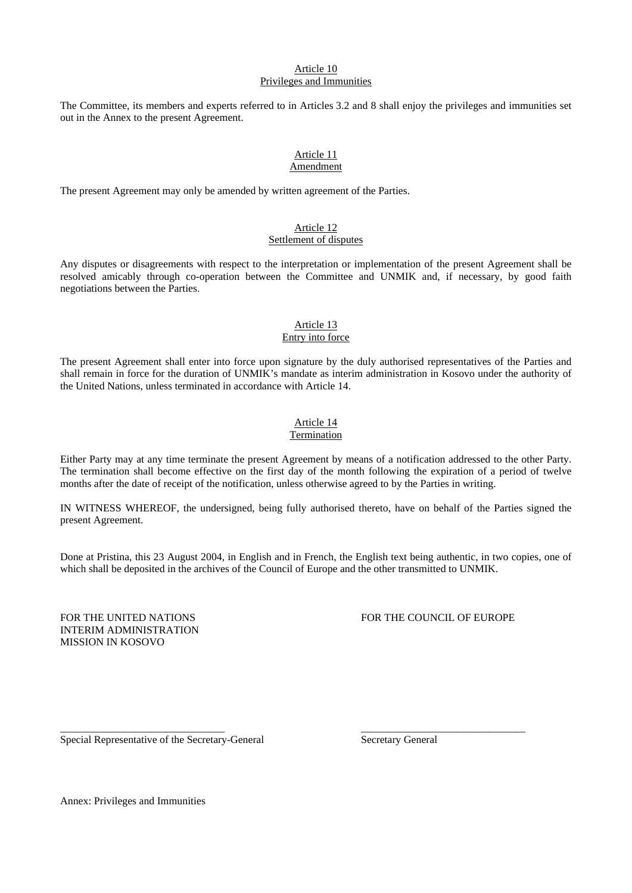## Article 10 Privileges and Immunities

The Committee, its members and experts referred to in Articles 3.2 and 8 shall enjoy the privileges and immunities set out in the Annex to the present Agreement.

#### Article 11 Amendment

The present Agreement may only be amended by written agreement of the Parties.

## Article 12 Settlement of disputes

Any disputes or disagreements with respect to the interpretation or implementation of the present Agreement shall be resolved amicably through co-operation between the Committee and UNMIK and, if necessary, by good faith negotiations between the Parties.

## Article 13

## Entry into force

The present Agreement shall enter into force upon signature by the duly authorised representatives of the Parties and shall remain in force for the duration of UNMIK's mandate as interim administration in Kosovo under the authority of the United Nations, unless terminated in accordance with Article 14.

## Article 14

## Termination

Either Party may at any time terminate the present Agreement by means of a notification addressed to the other Party. The termination shall become effective on the first day of the month following the expiration of a period of twelve months after the date of receipt of the notification, unless otherwise agreed to by the Parties in writing.

IN WITNESS WHEREOF, the undersigned, being fully authorised thereto, have on behalf of the Parties signed the present Agreement.

Done at Pristina, this 23 August 2004, in English and in French, the English text being authentic, in two copies, one of which shall be deposited in the archives of the Council of Europe and the other transmitted to UNMIK.

\_\_\_\_\_\_\_\_\_\_\_\_\_\_\_\_\_\_\_\_\_\_\_\_\_\_\_\_\_\_\_ \_\_\_\_\_\_\_\_\_\_\_\_\_\_\_\_\_\_\_\_\_\_\_\_\_\_\_\_\_\_\_

INTERIM ADMINISTRATION MISSION IN KOSOVO

## FOR THE UNITED NATIONS FOR THE COUNCIL OF EUROPE

Special Representative of the Secretary-General Secretary General

Annex: Privileges and Immunities